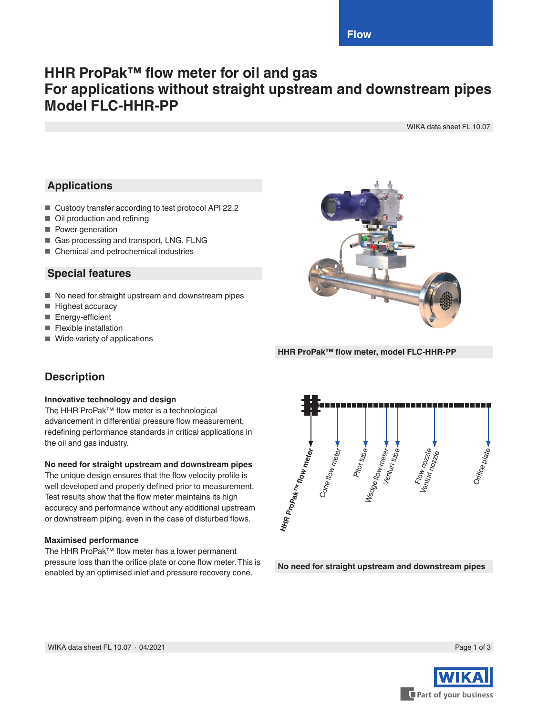# **HHR ProPak™ flow meter for oil and gas For applications without straight upstream and downstream pipes Model FLC-HHR-PP**

WIKA data sheet FL 10.07

## **Applications**

- Custody transfer according to test protocol API 22.2
- Oil production and refining
- Power generation
- Gas processing and transport, LNG, FLNG
- Chemical and petrochemical industries

### **Special features**

- No need for straight upstream and downstream pipes
- Highest accuracy
- Energy-efficient
- Flexible installation
- Wide variety of applications



**HHR ProPak™ flow meter, model FLC-HHR-PP**

## **Description**

### **Innovative technology and design**

The HHR ProPak™ flow meter is a technological advancement in differential pressure flow measurement, redefining performance standards in critical applications in the oil and gas industry.

### **No need for straight upstream and downstream pipes**

The unique design ensures that the flow velocity profile is well developed and properly defined prior to measurement. Test results show that the flow meter maintains its high accuracy and performance without any additional upstream or downstream piping, even in the case of disturbed flows.

### **Maximised performance**

The HHR ProPak™ flow meter has a lower permanent pressure loss than the orifice plate or cone flow meter. This is enabled by an optimised inlet and pressure recovery cone.



**No need for straight upstream and downstream pipes**

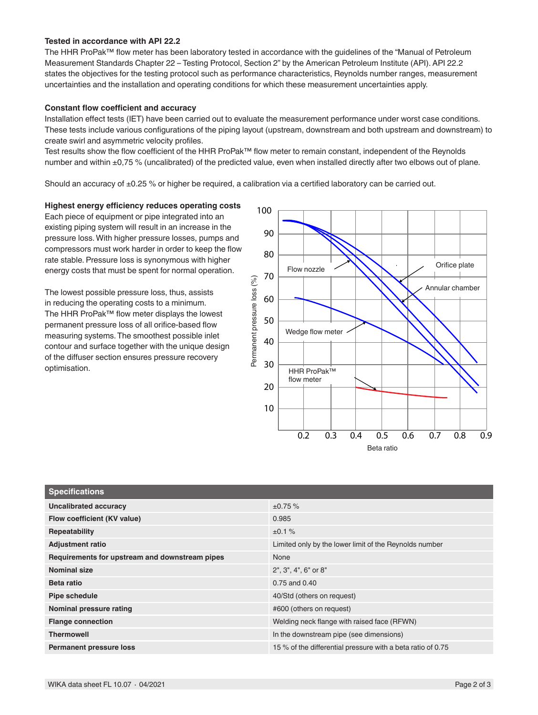#### **Tested in accordance with API 22.2**

The HHR ProPak™ flow meter has been laboratory tested in accordance with the guidelines of the "Manual of Petroleum Measurement Standards Chapter 22 – Testing Protocol, Section 2" by the American Petroleum Institute (API). API 22.2 states the objectives for the testing protocol such as performance characteristics, Reynolds number ranges, measurement uncertainties and the installation and operating conditions for which these measurement uncertainties apply.

#### **Constant flow coefficient and accuracy**

Installation effect tests (IET) have been carried out to evaluate the measurement performance under worst case conditions. These tests include various configurations of the piping layout (upstream, downstream and both upstream and downstream) to create swirl and asymmetric velocity profiles.

Test results show the flow coefficient of the HHR ProPak™ flow meter to remain constant, independent of the Reynolds number and within ±0,75 % (uncalibrated) of the predicted value, even when installed directly after two elbows out of plane.

Should an accuracy of ±0.25 % or higher be required, a calibration via a certified laboratory can be carried out.

#### **Highest energy efficiency reduces operating costs**

Each piece of equipment or pipe integrated into an existing piping system will result in an increase in the pressure loss. With higher pressure losses, pumps and compressors must work harder in order to keep the flow rate stable. Pressure loss is synonymous with higher energy costs that must be spent for normal operation.

The lowest possible pressure loss, thus, assists in reducing the operating costs to a minimum. The HHR ProPak™ flow meter displays the lowest permanent pressure loss of all orifice-based flow measuring systems. The smoothest possible inlet contour and surface together with the unique design of the diffuser section ensures pressure recovery optimisation.



| <b>Specifications</b>                          |                                                             |  |  |  |
|------------------------------------------------|-------------------------------------------------------------|--|--|--|
| <b>Uncalibrated accuracy</b>                   | ±0.75%                                                      |  |  |  |
| Flow coefficient (KV value)                    | 0.985                                                       |  |  |  |
| Repeatability                                  | ±0.1%                                                       |  |  |  |
| <b>Adjustment ratio</b>                        | Limited only by the lower limit of the Reynolds number      |  |  |  |
| Requirements for upstream and downstream pipes | None                                                        |  |  |  |
| <b>Nominal size</b>                            | 2", 3", 4", 6" or 8"                                        |  |  |  |
| Beta ratio                                     | 0.75 and 0.40                                               |  |  |  |
| Pipe schedule                                  | 40/Std (others on request)                                  |  |  |  |
| Nominal pressure rating                        | #600 (others on request)                                    |  |  |  |
| <b>Flange connection</b>                       | Welding neck flange with raised face (RFWN)                 |  |  |  |
| <b>Thermowell</b>                              | In the downstream pipe (see dimensions)                     |  |  |  |
| <b>Permanent pressure loss</b>                 | 15 % of the differential pressure with a beta ratio of 0.75 |  |  |  |